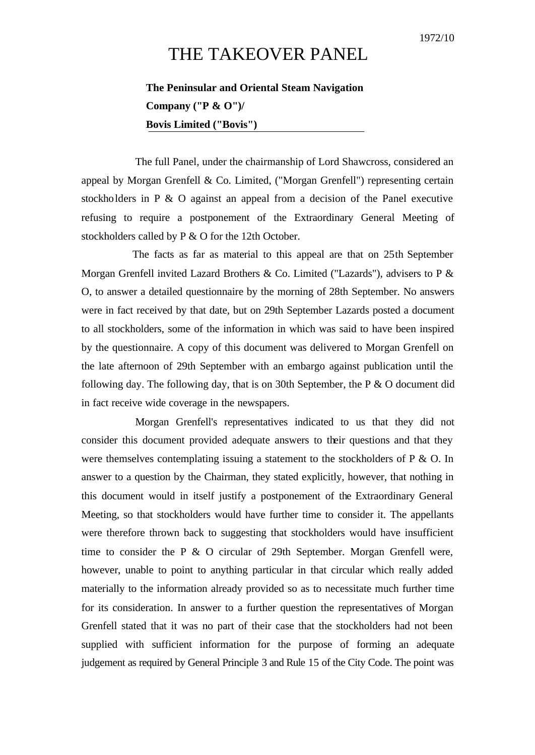## THE TAKEOVER PANEL

**The Peninsular and Oriental Steam Navigation Company ("P & O")/ Bovis Limited ("Bovis")**

The full Panel, under the chairmanship of Lord Shawcross, considered an appeal by Morgan Grenfell & Co. Limited, ("Morgan Grenfell") representing certain stockholders in P & O against an appeal from a decision of the Panel executive refusing to require a postponement of the Extraordinary General Meeting of stockholders called by P & O for the 12th October.

The facts as far as material to this appeal are that on 25th September Morgan Grenfell invited Lazard Brothers & Co. Limited ("Lazards"), advisers to P & O, to answer a detailed questionnaire by the morning of 28th September. No answers were in fact received by that date, but on 29th September Lazards posted a document to all stockholders, some of the information in which was said to have been inspired by the questionnaire. A copy of this document was delivered to Morgan Grenfell on the late afternoon of 29th September with an embargo against publication until the following day. The following day, that is on 30th September, the P & O document did in fact receive wide coverage in the newspapers.

Morgan Grenfell's representatives indicated to us that they did not consider this document provided adequate answers to their questions and that they were themselves contemplating issuing a statement to the stockholders of P & O. In answer to a question by the Chairman, they stated explicitly, however, that nothing in this document would in itself justify a postponement of the Extraordinary General Meeting, so that stockholders would have further time to consider it. The appellants were therefore thrown back to suggesting that stockholders would have insufficient time to consider the P & O circular of 29th September. Morgan Grenfell were, however, unable to point to anything particular in that circular which really added materially to the information already provided so as to necessitate much further time for its consideration. In answer to a further question the representatives of Morgan Grenfell stated that it was no part of their case that the stockholders had not been supplied with sufficient information for the purpose of forming an adequate judgement as required by General Principle 3 and Rule 15 of the City Code. The point was